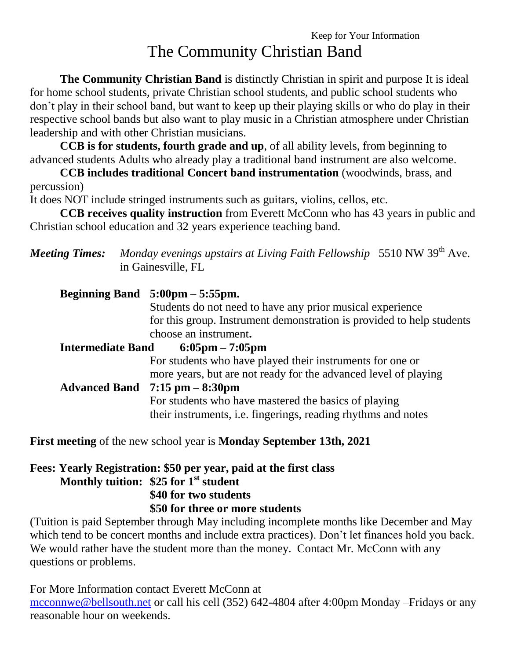**The Community Christian Band** is distinctly Christian in spirit and purpose It is ideal for home school students, private Christian school students, and public school students who don't play in their school band, but want to keep up their playing skills or who do play in their respective school bands but also want to play music in a Christian atmosphere under Christian leadership and with other Christian musicians.

**CCB is for students, fourth grade and up**, of all ability levels, from beginning to advanced students Adults who already play a traditional band instrument are also welcome.

**CCB includes traditional Concert band instrumentation** (woodwinds, brass, and percussion)

It does NOT include stringed instruments such as guitars, violins, cellos, etc.

**CCB receives quality instruction** from Everett McConn who has 43 years in public and Christian school education and 32 years experience teaching band.

|                          |  | <b>Meeting Times:</b> Monday evenings upstairs at Living Faith Fellowship 5510 NW 39 <sup>th</sup> Ave.<br>in Gainesville, FL |  |  |  |
|--------------------------|--|-------------------------------------------------------------------------------------------------------------------------------|--|--|--|
|                          |  | Beginning Band $5:00 \text{pm} - 5:55 \text{pm}$ .                                                                            |  |  |  |
|                          |  | Students do not need to have any prior musical experience                                                                     |  |  |  |
|                          |  | for this group. Instrument demonstration is provided to help students                                                         |  |  |  |
|                          |  | choose an instrument.                                                                                                         |  |  |  |
| <b>Intermediate Band</b> |  | $6:05 \text{pm} - 7:05 \text{pm}$                                                                                             |  |  |  |
|                          |  | For students who have played their instruments for one or                                                                     |  |  |  |
|                          |  | more years, but are not ready for the advanced level of playing                                                               |  |  |  |
|                          |  | Advanced Band $7:15$ pm $-8:30$ pm                                                                                            |  |  |  |
|                          |  | For students who have mastered the basics of playing                                                                          |  |  |  |
|                          |  | their instruments, i.e. fingerings, reading rhythms and notes                                                                 |  |  |  |

**First meeting** of the new school year is **Monday September 13th, 2021**

### **Fees: Yearly Registration: \$50 per year, paid at the first class Monthly tuition: \$25 for 1 st student \$40 for two students \$50 for three or more students**

(Tuition is paid September through May including incomplete months like December and May which tend to be concert months and include extra practices). Don't let finances hold you back. We would rather have the student more than the money. Contact Mr. McConn with any questions or problems.

For More Information contact Everett McConn at [mcconnwe@bellsouth.net](mailto:mcconnwe@bellsouth.net) or call his cell (352) 642-4804 after 4:00pm Monday –Fridays or any reasonable hour on weekends.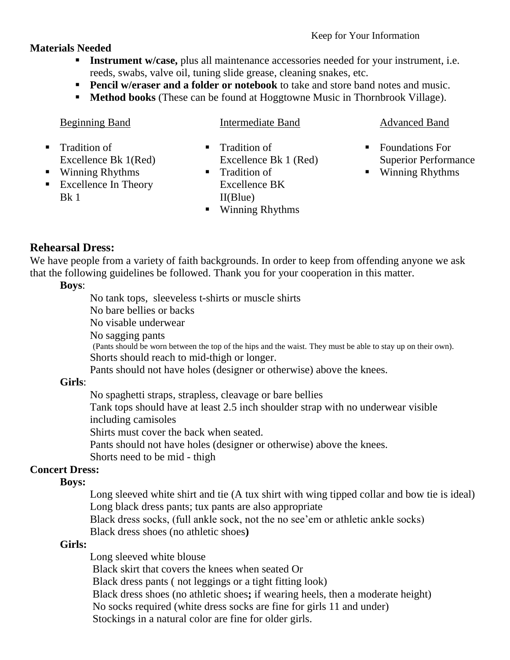## **Materials Needed**

- **Instrument w/case,** plus all maintenance accessories needed for your instrument, i.e. reeds, swabs, valve oil, tuning slide grease, cleaning snakes, etc.
- **Pencil w/eraser and a folder or notebook** to take and store band notes and music.
- **Method books** (These can be found at Hoggtowne Music in Thornbrook Village).

## Beginning Band

**Winning Rhythms Excellence In Theory** 

Excellence Bk 1(Red)

**Tradition of** 

Intermediate Band

- **Tradition of** Excellence Bk 1 (Red)
- **Tradition of** Excellence BK
	- II(Blue)
- Winning Rhythms

### Advanced Band

- Foundations For Superior Performance
- Winning Rhythms

## **Rehearsal Dress:**

 $Bk<sub>1</sub>$ 

We have people from a variety of faith backgrounds. In order to keep from offending anyone we ask that the following guidelines be followed. Thank you for your cooperation in this matter.

### **Boys**:

No tank tops, sleeveless t-shirts or muscle shirts

No bare bellies or backs

No visable underwear

No sagging pants

(Pants should be worn between the top of the hips and the waist. They must be able to stay up on their own). Shorts should reach to mid-thigh or longer.

Pants should not have holes (designer or otherwise) above the knees.

## **Girls**:

No spaghetti straps, strapless, cleavage or bare bellies

Tank tops should have at least 2.5 inch shoulder strap with no underwear visible including camisoles

Shirts must cover the back when seated.

Pants should not have holes (designer or otherwise) above the knees.

Shorts need to be mid - thigh

## **Concert Dress:**

### **Boys:**

Long sleeved white shirt and tie (A tux shirt with wing tipped collar and bow tie is ideal) Long black dress pants; tux pants are also appropriate

Black dress socks, (full ankle sock, not the no see'em or athletic ankle socks) Black dress shoes (no athletic shoes**)**

### **Girls:**

Long sleeved white blouse Black skirt that covers the knees when seated Or Black dress pants ( not leggings or a tight fitting look) Black dress shoes (no athletic shoes**;** if wearing heels, then a moderate height) No socks required (white dress socks are fine for girls 11 and under) Stockings in a natural color are fine for older girls.